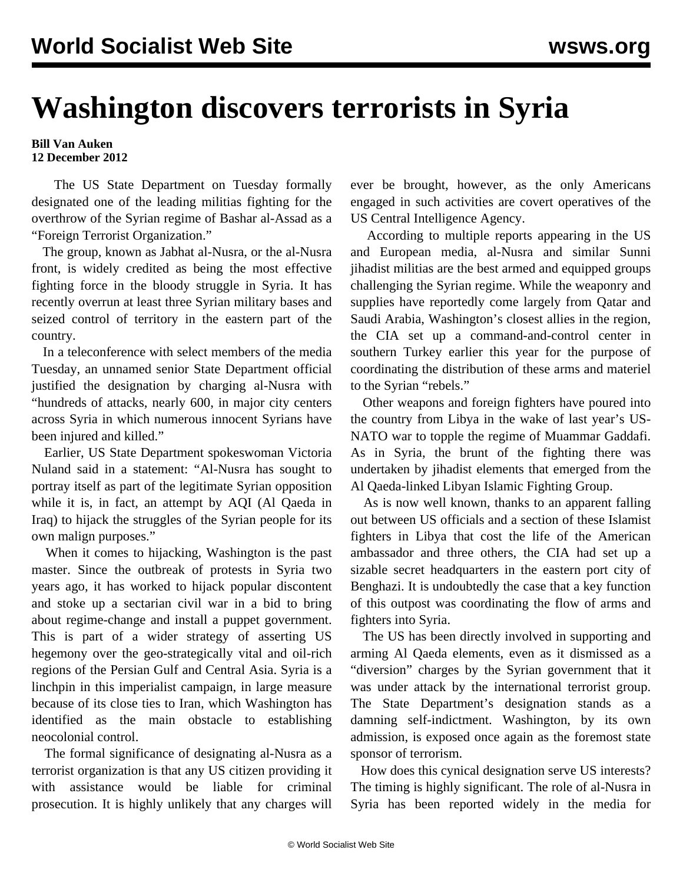## **Washington discovers terrorists in Syria**

## **Bill Van Auken 12 December 2012**

 The US State Department on Tuesday formally designated one of the leading militias fighting for the overthrow of the Syrian regime of Bashar al-Assad as a "Foreign Terrorist Organization."

 The group, known as Jabhat al-Nusra, or the al-Nusra front, is widely credited as being the most effective fighting force in the bloody struggle in Syria. It has recently overrun at least three Syrian military bases and seized control of territory in the eastern part of the country.

 In a teleconference with select members of the media Tuesday, an unnamed senior State Department official justified the designation by charging al-Nusra with "hundreds of attacks, nearly 600, in major city centers across Syria in which numerous innocent Syrians have been injured and killed."

 Earlier, US State Department spokeswoman Victoria Nuland said in a statement: "Al-Nusra has sought to portray itself as part of the legitimate Syrian opposition while it is, in fact, an attempt by AQI (Al Qaeda in Iraq) to hijack the struggles of the Syrian people for its own malign purposes."

 When it comes to hijacking, Washington is the past master. Since the outbreak of protests in Syria two years ago, it has worked to hijack popular discontent and stoke up a sectarian civil war in a bid to bring about regime-change and install a puppet government. This is part of a wider strategy of asserting US hegemony over the geo-strategically vital and oil-rich regions of the Persian Gulf and Central Asia. Syria is a linchpin in this imperialist campaign, in large measure because of its close ties to Iran, which Washington has identified as the main obstacle to establishing neocolonial control.

 The formal significance of designating al-Nusra as a terrorist organization is that any US citizen providing it with assistance would be liable for criminal prosecution. It is highly unlikely that any charges will ever be brought, however, as the only Americans engaged in such activities are covert operatives of the US Central Intelligence Agency.

 According to multiple reports appearing in the US and European media, al-Nusra and similar Sunni jihadist militias are the best armed and equipped groups challenging the Syrian regime. While the weaponry and supplies have reportedly come largely from Qatar and Saudi Arabia, Washington's closest allies in the region, the CIA set up a command-and-control center in southern Turkey earlier this year for the purpose of coordinating the distribution of these arms and materiel to the Syrian "rebels."

 Other weapons and foreign fighters have poured into the country from Libya in the wake of last year's US-NATO war to topple the regime of Muammar Gaddafi. As in Syria, the brunt of the fighting there was undertaken by jihadist elements that emerged from the Al Qaeda-linked Libyan Islamic Fighting Group.

 As is now well known, thanks to an apparent falling out between US officials and a section of these Islamist fighters in Libya that cost the life of the American ambassador and three others, the CIA had set up a sizable secret headquarters in the eastern port city of Benghazi. It is undoubtedly the case that a key function of this outpost was coordinating the flow of arms and fighters into Syria.

 The US has been directly involved in supporting and arming Al Qaeda elements, even as it dismissed as a "diversion" charges by the Syrian government that it was under attack by the international terrorist group. The State Department's designation stands as a damning self-indictment. Washington, by its own admission, is exposed once again as the foremost state sponsor of terrorism.

 How does this cynical designation serve US interests? The timing is highly significant. The role of al-Nusra in Syria has been reported widely in the media for